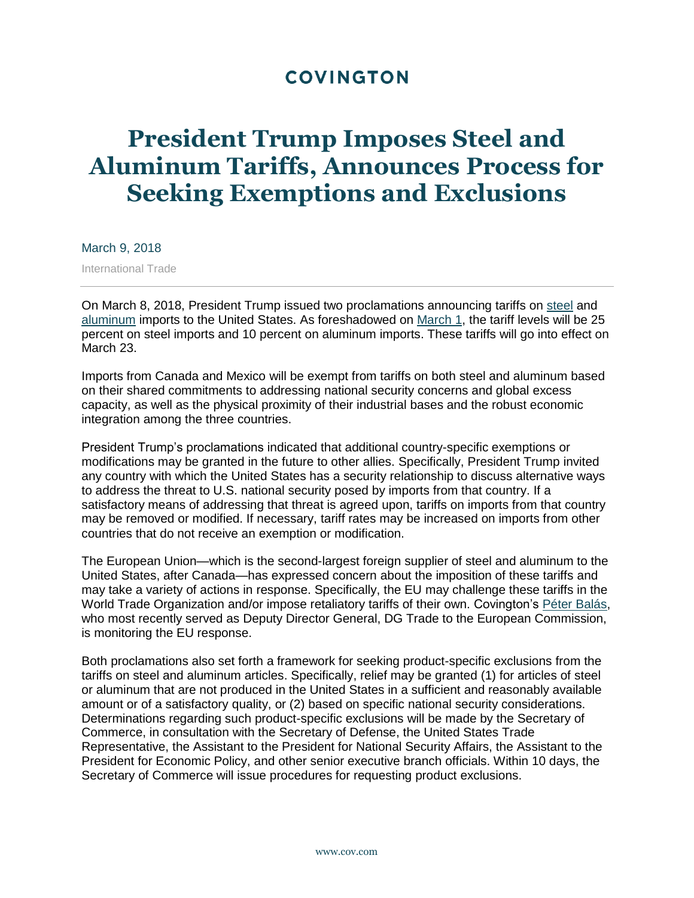## **COVINGTON**

## **President Trump Imposes Steel and Aluminum Tariffs, Announces Process for Seeking Exemptions and Exclusions**

March 9, 2018

International Trade

On March 8, 2018, President Trump issued two proclamations announcing tariffs on [steel](https://www.whitehouse.gov/presidential-actions/presidential-proclamation-adjusting-imports-steel-united-states/) and [aluminum](https://www.whitehouse.gov/presidential-actions/presidential-proclamation-adjusting-imports-aluminum-united-states/) imports to the United States. As foreshadowed on [March 1,](https://www.cov.com/-/media/files/corporate/publications/2018/03/president_trump_announces_tariffs_on_steel_and_aluminum_products.pdf) the tariff levels will be 25 percent on steel imports and 10 percent on aluminum imports. These tariffs will go into effect on March 23.

Imports from Canada and Mexico will be exempt from tariffs on both steel and aluminum based on their shared commitments to addressing national security concerns and global excess capacity, as well as the physical proximity of their industrial bases and the robust economic integration among the three countries.

President Trump's proclamations indicated that additional country-specific exemptions or modifications may be granted in the future to other allies. Specifically, President Trump invited any country with which the United States has a security relationship to discuss alternative ways to address the threat to U.S. national security posed by imports from that country. If a satisfactory means of addressing that threat is agreed upon, tariffs on imports from that country may be removed or modified. If necessary, tariff rates may be increased on imports from other countries that do not receive an exemption or modification.

The European Union—which is the second-largest foreign supplier of steel and aluminum to the United States, after Canada—has expressed concern about the imposition of these tariffs and may take a variety of actions in response. Specifically, the EU may challenge these tariffs in the World Trade Organization and/or impose retaliatory tariffs of their own. Covington's [Péter Balás,](https://www.cov.com/en/professionals/b/peter-balas) who most recently served as Deputy Director General, DG Trade to the European Commission, is monitoring the EU response.

Both proclamations also set forth a framework for seeking product-specific exclusions from the tariffs on steel and aluminum articles. Specifically, relief may be granted (1) for articles of steel or aluminum that are not produced in the United States in a sufficient and reasonably available amount or of a satisfactory quality, or (2) based on specific national security considerations. Determinations regarding such product-specific exclusions will be made by the Secretary of Commerce, in consultation with the Secretary of Defense, the United States Trade Representative, the Assistant to the President for National Security Affairs, the Assistant to the President for Economic Policy, and other senior executive branch officials. Within 10 days, the Secretary of Commerce will issue procedures for requesting product exclusions.